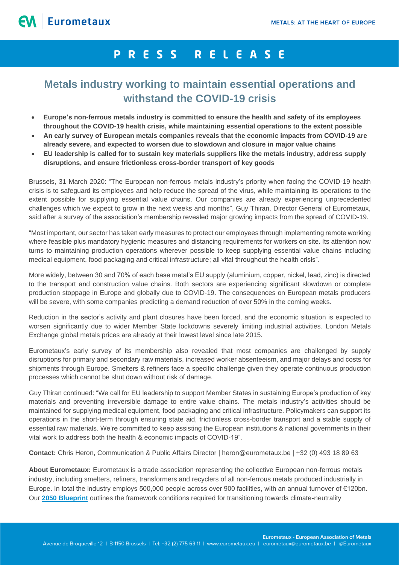## PRESS RELEASE

## **Metals industry working to maintain essential operations and withstand the COVID-19 crisis**

- **Europe's non-ferrous metals industry is committed to ensure the health and safety of its employees throughout the COVID-19 health crisis, while maintaining essential operations to the extent possible**
- **An early survey of European metals companies reveals that the economic impacts from COVID-19 are already severe, and expected to worsen due to slowdown and closure in major value chains**
- **EU leadership is called for to sustain key materials suppliers like the metals industry, address supply disruptions, and ensure frictionless cross-border transport of key goods**

Brussels, 31 March 2020: "The European non-ferrous metals industry's priority when facing the COVID-19 health crisis is to safeguard its employees and help reduce the spread of the virus, while maintaining its operations to the extent possible for supplying essential value chains. Our companies are already experiencing unprecedented challenges which we expect to grow in the next weeks and months", Guy Thiran, Director General of Eurometaux, said after a survey of the association's membership revealed major growing impacts from the spread of COVID-19.

"Most important, our sector has taken early measures to protect our employees through implementing remote working where feasible plus mandatory hygienic measures and distancing requirements for workers on site. Its attention now turns to maintaining production operations wherever possible to keep supplying essential value chains including medical equipment, food packaging and critical infrastructure; all vital throughout the health crisis".

More widely, between 30 and 70% of each base metal's EU supply (aluminium, copper, nickel, lead, zinc) is directed to the transport and construction value chains. Both sectors are experiencing significant slowdown or complete production stoppage in Europe and globally due to COVID-19. The consequences on European metals producers will be severe, with some companies predicting a demand reduction of over 50% in the coming weeks.

Reduction in the sector's activity and plant closures have been forced, and the economic situation is expected to worsen significantly due to wider Member State lockdowns severely limiting industrial activities. London Metals Exchange global metals prices are already at their lowest level since late 2015.

Eurometaux's early survey of its membership also revealed that most companies are challenged by supply disruptions for primary and secondary raw materials, increased worker absenteeism, and major delays and costs for shipments through Europe. Smelters & refiners face a specific challenge given they operate continuous production processes which cannot be shut down without risk of damage.

Guy Thiran continued: "We call for EU leadership to support Member States in sustaining Europe's production of key materials and preventing irreversible damage to entire value chains. The metals industry's activities should be maintained for supplying medical equipment, food packaging and critical infrastructure. Policymakers can support its operations in the short-term through ensuring state aid, frictionless cross-border transport and a stable supply of essential raw materials. We're committed to keep assisting the European institutions & national governments in their vital work to address both the health & economic impacts of COVID-19".

**Contact:** Chris Heron, Communication & Public Affairs Director | heron@eurometaux.be | +32 (0) 493 18 89 63

**About Eurometaux:** Eurometaux is a trade association representing the collective European non-ferrous metals industry, including smelters, refiners, transformers and recyclers of all non-ferrous metals produced industrially in Europe. In total the industry employs 500,000 people across over 900 facilities, with an annual turnover of €120bn. Our **[2050 Blueprint](https://www.eurometaux.eu/media/1997/exec-summary-metals-2050.pdf)** outlines the framework conditions required for transitioning towards climate-neutrality